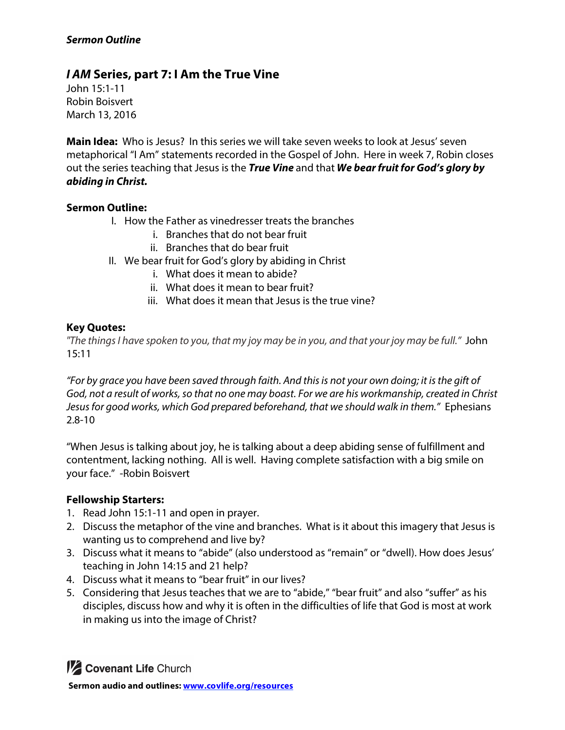## *Sermon Outline*

# *I AM* **Series, part 7: I Am the True Vine**

John 15:1-11 Robin Boisvert March 13, 2016

**Main Idea:** Who is Jesus? In this series we will take seven weeks to look at Jesus' seven metaphorical "I Am" statements recorded in the Gospel of John. Here in week 7, Robin closes out the series teaching that Jesus is the *True Vine* and that *We bear fruit for God's glory by abiding in Christ.*

#### **Sermon Outline:**

- I. How the Father as vinedresser treats the branches
	- i. Branches that do not bear fruit
	- ii. Branches that do bear fruit
- II. We bear fruit for God's glory by abiding in Christ
	- i. What does it mean to abide?
	- ii. What does it mean to bear fruit?
	- iii. What does it mean that Jesus is the true vine?

#### **Key Quotes:**

*"The things I have spoken to you, that my joy may be in you, and that your joy may be full."* John 15:11

*"For by grace you have been saved through faith. And this is not your own doing; it is the gift of God, not a result of works, so that no one may boast. For we are his workmanship, created in Christ Jesus for good works, which God prepared beforehand, that we should walk in them."* Ephesians 2.8-10

"When Jesus is talking about joy, he is talking about a deep abiding sense of fulfillment and contentment, lacking nothing. All is well. Having complete satisfaction with a big smile on your face." -Robin Boisvert

#### **Fellowship Starters:**

- 1. Read John 15:1-11 and open in prayer.
- 2. Discuss the metaphor of the vine and branches. What is it about this imagery that Jesus is wanting us to comprehend and live by?
- 3. Discuss what it means to "abide" (also understood as "remain" or "dwell). How does Jesus' teaching in John 14:15 and 21 help?
- 4. Discuss what it means to "bear fruit" in our lives?
- 5. Considering that Jesus teaches that we are to "abide," "bear fruit" and also "suffer" as his disciples, discuss how and why it is often in the difficulties of life that God is most at work in making us into the image of Christ?

*M* Covenant Life Church **Sermon audio and outlines: www.covlife.org/resources**